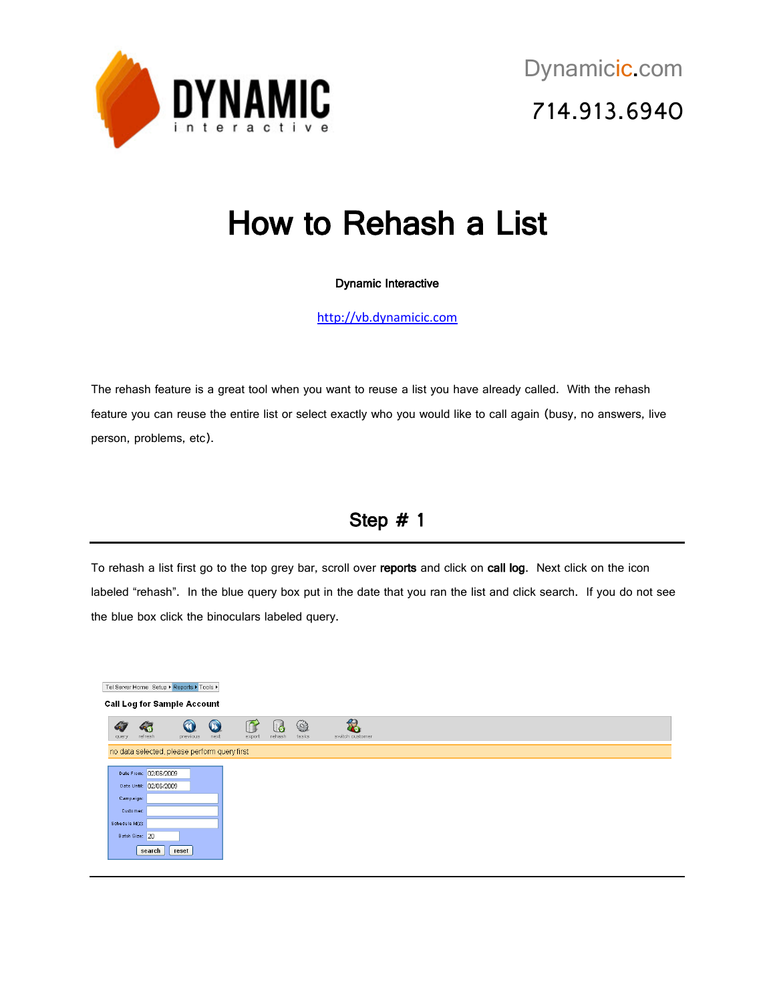

# How to Rehash a List

#### Dynamic Interactive

[http://vb.dynamicic.com](http://vb.dynamicic.com/)

The rehash feature is a great tool when you want to reuse a list you have already called. With the rehash feature you can reuse the entire list or select exactly who you would like to call again (busy, no answers, live person, problems, etc).

### Step # 1

To rehash a list first go to the top grey bar, scroll over reports and click on call log. Next click on the icon labeled "rehash". In the blue query box put in the date that you ran the list and click search. If you do not see the blue box click the binoculars labeled query.

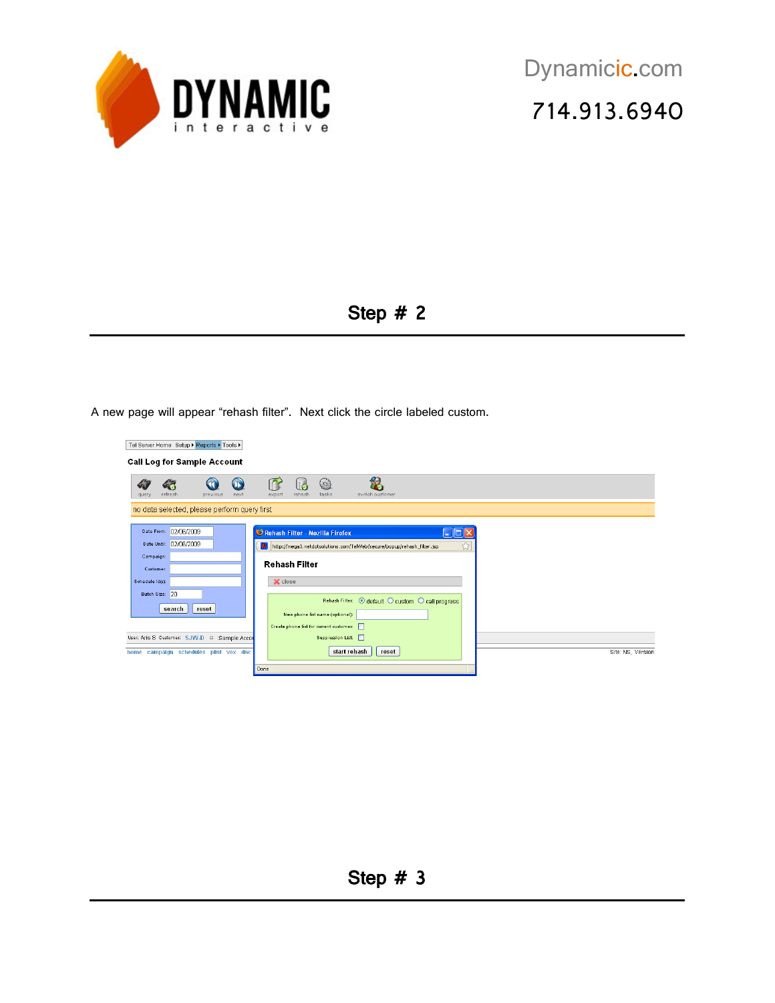

### Step # 2

A new page will appear "rehash filter". Next click the circle labeled custom.

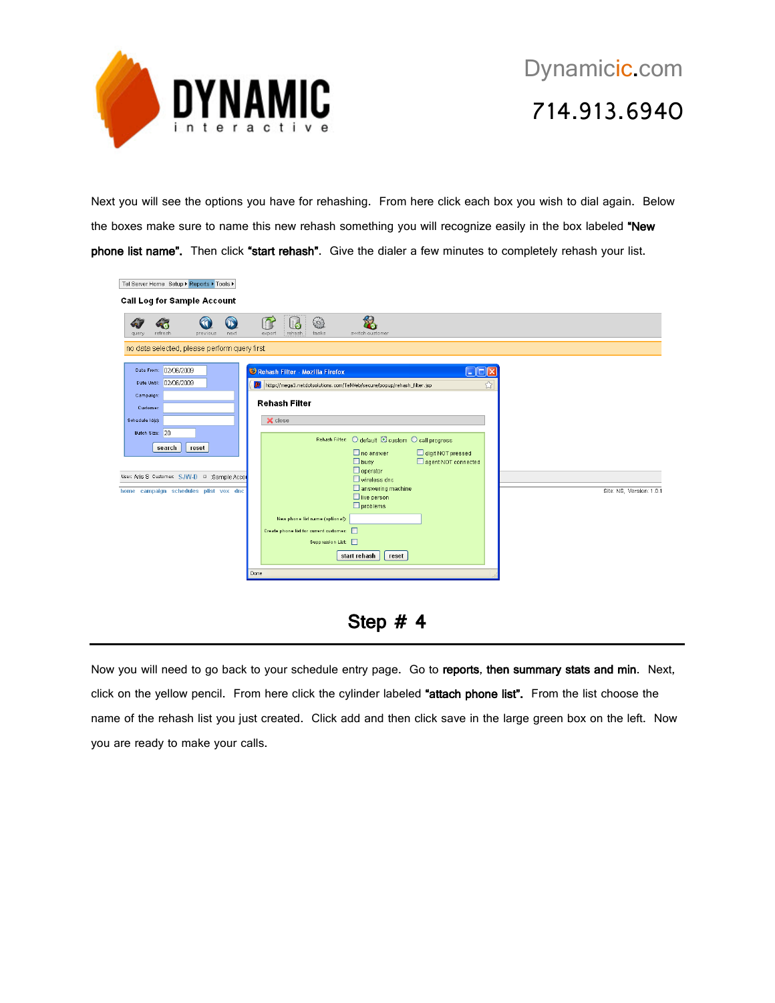

## Dynamicic.com 714.913.6940

Next you will see the options you have for rehashing. From here click each box you wish to dial again. Below the boxes make sure to name this new rehash something you will recognize easily in the box labeled "New phone list name". Then click "start rehash". Give the dialer a few minutes to completely rehash your list.

| Tel Server Home Setup ▶ Reports ▶ Tools ▶                                                                                                                                                                                   |                                                                                                                                                                                                                                                                                                                                                                                                                                                                                                                               |                          |
|-----------------------------------------------------------------------------------------------------------------------------------------------------------------------------------------------------------------------------|-------------------------------------------------------------------------------------------------------------------------------------------------------------------------------------------------------------------------------------------------------------------------------------------------------------------------------------------------------------------------------------------------------------------------------------------------------------------------------------------------------------------------------|--------------------------|
| <b>Call Log for Sample Account</b>                                                                                                                                                                                          |                                                                                                                                                                                                                                                                                                                                                                                                                                                                                                                               |                          |
| $\mathbf{D}$<br>refresh<br>previous<br>next<br>query                                                                                                                                                                        | n<br>(လဲ)<br>G<br>rehash<br>tasks<br>export<br>switch customer                                                                                                                                                                                                                                                                                                                                                                                                                                                                |                          |
| no data selected, please perform query first                                                                                                                                                                                |                                                                                                                                                                                                                                                                                                                                                                                                                                                                                                                               |                          |
| Date From: 02/06/2009<br>Date Until: 02/06/2009<br>Campaign:<br>Customer:<br>Schedule (d(s):<br>Batch Size: 20<br>search<br>reset<br>User: Aris S Customer: SJW-D D : Sample Accor<br>home campaign schedules plist vox dnc | Rehash Filter - Mozilla Firefox<br>$\Box$ $\Box$ $\times$<br>☆<br>http://mega3.netdotsolutions.com/TelWeb/secure/popup/rehash_filter.jsp<br>Rehash Filter<br>X close<br>Rehash Filter: O default @ custom O call progress<br>digit NOT pressed<br>$\Box$ no answer<br>agent NOT connected<br>$\Box$ busy<br>$\Box$ operator<br>$\Box$ wireless dnc<br>$\Box$ answering machine<br>$\Box$ live person<br>$\square$ problems<br>New phone list name (optional):<br>Create phone list for current customer:<br>Suppression List: | Site: NS, Version: 1.0.1 |
|                                                                                                                                                                                                                             | start rehash<br>reset<br>Done                                                                                                                                                                                                                                                                                                                                                                                                                                                                                                 |                          |

#### Step # 4

Now you will need to go back to your schedule entry page. Go to reports, then summary stats and min. Next, click on the yellow pencil. From here click the cylinder labeled "attach phone list". From the list choose the name of the rehash list you just created. Click add and then click save in the large green box on the left. Now you are ready to make your calls.